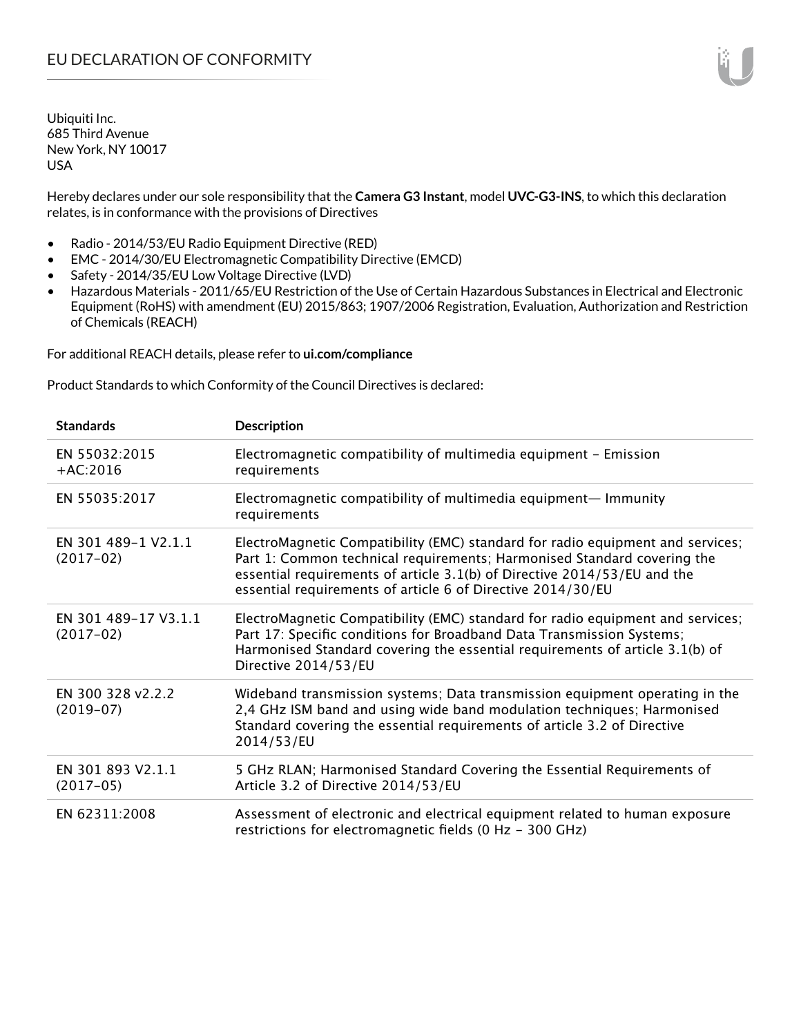Hereby declares under our sole responsibility that the **Camera G3 Instant**, model **UVC-G3-INS**, to which this declaration relates, is in conformance with the provisions of Directives

- Radio 2014/53/EU Radio Equipment Directive (RED)
- EMC 2014/30/EU Electromagnetic Compatibility Directive (EMCD)
- Safety 2014/35/EU Low Voltage Directive (LVD)
- Hazardous Materials 2011/65/EU Restriction of the Use of Certain Hazardous Substances in Electrical and Electronic Equipment (RoHS) with amendment (EU) 2015/863; 1907/2006 Registration, Evaluation, Authorization and Restriction of Chemicals (REACH)

For additional REACH details, please refer to **ui.com/compliance**

Product Standards to which Conformity of the Council Directives is declared:

| <b>Standards</b>                    | <b>Description</b>                                                                                                                                                                                                                                                                                   |
|-------------------------------------|------------------------------------------------------------------------------------------------------------------------------------------------------------------------------------------------------------------------------------------------------------------------------------------------------|
| EN 55032:2015<br>$+AC:2016$         | Electromagnetic compatibility of multimedia equipment - Emission<br>requirements                                                                                                                                                                                                                     |
| EN 55035:2017                       | Electromagnetic compatibility of multimedia equipment- Immunity<br>requirements                                                                                                                                                                                                                      |
| EN 301 489-1 V2.1.1<br>$(2017-02)$  | ElectroMagnetic Compatibility (EMC) standard for radio equipment and services;<br>Part 1: Common technical requirements; Harmonised Standard covering the<br>essential requirements of article 3.1(b) of Directive 2014/53/EU and the<br>essential requirements of article 6 of Directive 2014/30/EU |
| EN 301 489-17 V3.1.1<br>$(2017-02)$ | ElectroMagnetic Compatibility (EMC) standard for radio equipment and services;<br>Part 17: Specific conditions for Broadband Data Transmission Systems;<br>Harmonised Standard covering the essential requirements of article 3.1(b) of<br>Directive 2014/53/EU                                      |
| EN 300 328 v2.2.2<br>$(2019-07)$    | Wideband transmission systems; Data transmission equipment operating in the<br>2,4 GHz ISM band and using wide band modulation techniques; Harmonised<br>Standard covering the essential requirements of article 3.2 of Directive<br>2014/53/EU                                                      |
| EN 301 893 V2.1.1<br>$(2017-05)$    | 5 GHz RLAN; Harmonised Standard Covering the Essential Requirements of<br>Article 3.2 of Directive 2014/53/EU                                                                                                                                                                                        |
| EN 62311:2008                       | Assessment of electronic and electrical equipment related to human exposure<br>restrictions for electromagnetic fields (0 Hz - 300 GHz)                                                                                                                                                              |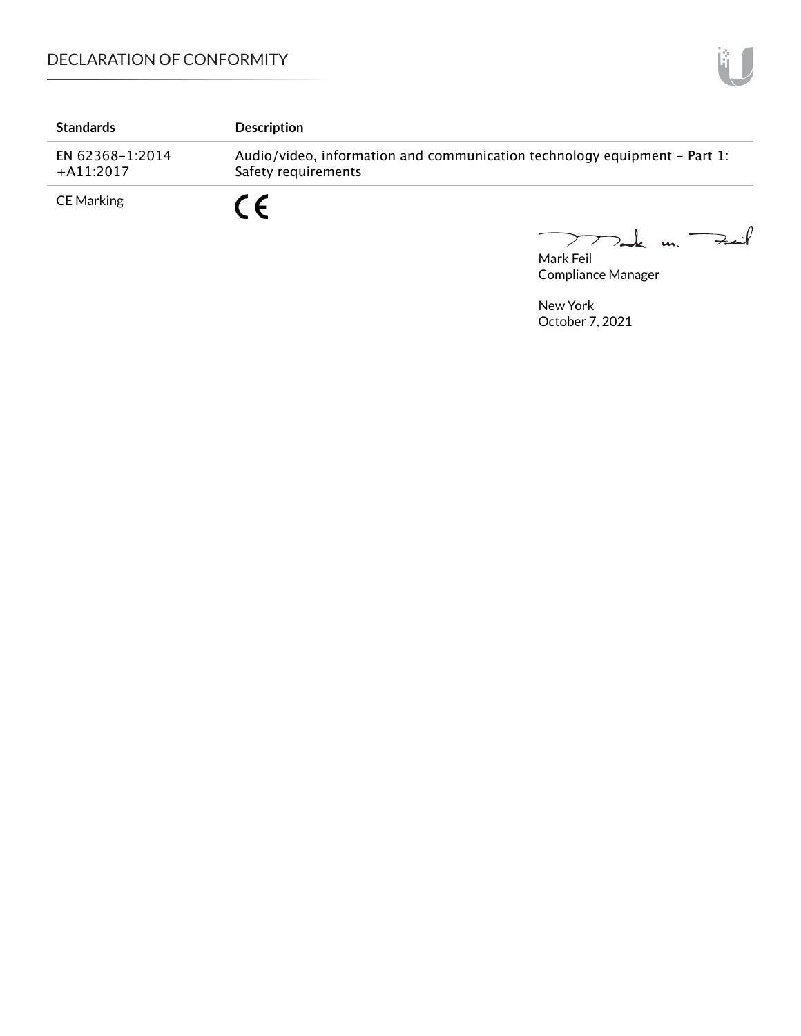| <b>Standards</b>               | <b>Description</b>                                                                               |
|--------------------------------|--------------------------------------------------------------------------------------------------|
| EN 62368-1:2014<br>$+A11:2017$ | Audio/video, information and communication technology equipment – Part 1:<br>Safety requirements |
| CE Marking                     | r c                                                                                              |

Mark Feil<br>Mark Feil

Compliance Manager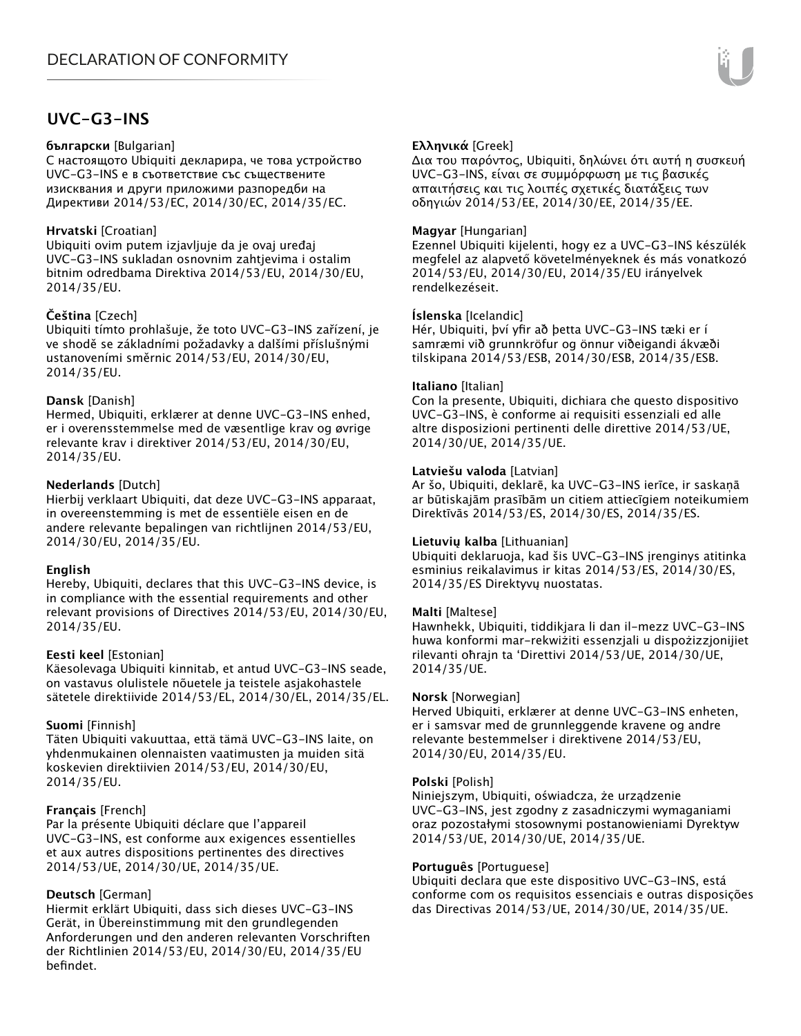# **UVC-G3-INS**

#### **български** [Bulgarian]

С настоящото Ubiquiti декларира, че това устройство UVC-G3-INS е в съответствие със съществените изисквания и други приложими разпоредби на Директиви 2014/53/EC, 2014/30/ЕС, 2014/35/ЕС.

### **Hrvatski** [Croatian]

Ubiquiti ovim putem izjavljuje da je ovaj uređaj UVC-G3-INS sukladan osnovnim zahtjevima i ostalim bitnim odredbama Direktiva 2014/53/EU, 2014/30/EU, 2014/35/EU.

### **Čeština** [Czech]

Ubiquiti tímto prohlašuje, že toto UVC-G3-INS zařízení, je ve shodě se základními požadavky a dalšími příslušnými ustanoveními směrnic 2014/53/EU, 2014/30/EU, 2014/35/EU.

### **Dansk** [Danish]

Hermed, Ubiquiti, erklærer at denne UVC-G3-INS enhed, er i overensstemmelse med de væsentlige krav og øvrige relevante krav i direktiver 2014/53/EU, 2014/30/EU, 2014/35/EU.

### **Nederlands** [Dutch]

Hierbij verklaart Ubiquiti, dat deze UVC-G3-INS apparaat, in overeenstemming is met de essentiële eisen en de andere relevante bepalingen van richtlijnen 2014/53/EU, 2014/30/EU, 2014/35/EU.

### **English**

Hereby, Ubiquiti, declares that this UVC-G3-INS device, is in compliance with the essential requirements and other relevant provisions of Directives 2014/53/EU, 2014/30/EU, 2014/35/EU.

### **Eesti keel** [Estonian]

Käesolevaga Ubiquiti kinnitab, et antud UVC-G3-INS seade, on vastavus olulistele nõuetele ja teistele asjakohastele sätetele direktiivide 2014/53/EL, 2014/30/EL, 2014/35/EL.

### **Suomi** [Finnish]

Täten Ubiquiti vakuuttaa, että tämä UVC-G3-INS laite, on yhdenmukainen olennaisten vaatimusten ja muiden sitä koskevien direktiivien 2014/53/EU, 2014/30/EU, 2014/35/EU.

### **Français** [French]

Par la présente Ubiquiti déclare que l'appareil UVC-G3-INS, est conforme aux exigences essentielles et aux autres dispositions pertinentes des directives 2014/53/UE, 2014/30/UE, 2014/35/UE.

### **Deutsch** [German]

Hiermit erklärt Ubiquiti, dass sich dieses UVC-G3-INS Gerät, in Übereinstimmung mit den grundlegenden Anforderungen und den anderen relevanten Vorschriften der Richtlinien 2014/53/EU, 2014/30/EU, 2014/35/EU befindet.

### **Ελληνικά** [Greek]

Δια του παρόντος, Ubiquiti, δηλώνει ότι αυτή η συσκευή UVC-G3-INS, είναι σε συμμόρφωση με τις βασικές απαιτήσεις και τις λοιπές σχετικές διατάξεις των οδηγιών 2014/53/EE, 2014/30/EE, 2014/35/EE.

### **Magyar** [Hungarian]

Ezennel Ubiquiti kijelenti, hogy ez a UVC-G3-INS készülék megfelel az alapvető követelményeknek és más vonatkozó 2014/53/EU, 2014/30/EU, 2014/35/EU irányelvek rendelkezéseit.

### **Íslenska** [Icelandic]

Hér, Ubiquiti, því yfir að þetta UVC-G3-INS tæki er í samræmi við grunnkröfur og önnur viðeigandi ákvæði tilskipana 2014/53/ESB, 2014/30/ESB, 2014/35/ESB.

#### **Italiano** [Italian]

Con la presente, Ubiquiti, dichiara che questo dispositivo UVC-G3-INS, è conforme ai requisiti essenziali ed alle altre disposizioni pertinenti delle direttive 2014/53/UE, 2014/30/UE, 2014/35/UE.

#### **Latviešu valoda** [Latvian]

Ar šo, Ubiquiti, deklarē, ka UVC-G3-INS ierīce, ir saskaņā ar būtiskajām prasībām un citiem attiecīgiem noteikumiem Direktīvās 2014/53/ES, 2014/30/ES, 2014/35/ES.

### **Lietuvių kalba** [Lithuanian]

Ubiquiti deklaruoja, kad šis UVC-G3-INS įrenginys atitinka esminius reikalavimus ir kitas 2014/53/ES, 2014/30/ES, 2014/35/ES Direktyvų nuostatas.

### **Malti** [Maltese]

Hawnhekk, Ubiquiti, tiddikjara li dan il-mezz UVC-G3-INS huwa konformi mar-rekwiżiti essenzjali u dispożizzjonijiet rilevanti oħrajn ta 'Direttivi 2014/53/UE, 2014/30/UE, 2014/35/UE.

### **Norsk** [Norwegian]

Herved Ubiquiti, erklærer at denne UVC-G3-INS enheten, er i samsvar med de grunnleggende kravene og andre relevante bestemmelser i direktivene 2014/53/EU, 2014/30/EU, 2014/35/EU.

### **Polski** [Polish]

Niniejszym, Ubiquiti, oświadcza, że urządzenie UVC-G3-INS, jest zgodny z zasadniczymi wymaganiami oraz pozostałymi stosownymi postanowieniami Dyrektyw 2014/53/UE, 2014/30/UE, 2014/35/UE.

### **Português** [Portuguese]

Ubiquiti declara que este dispositivo UVC-G3-INS, está conforme com os requisitos essenciais e outras disposições das Directivas 2014/53/UE, 2014/30/UE, 2014/35/UE.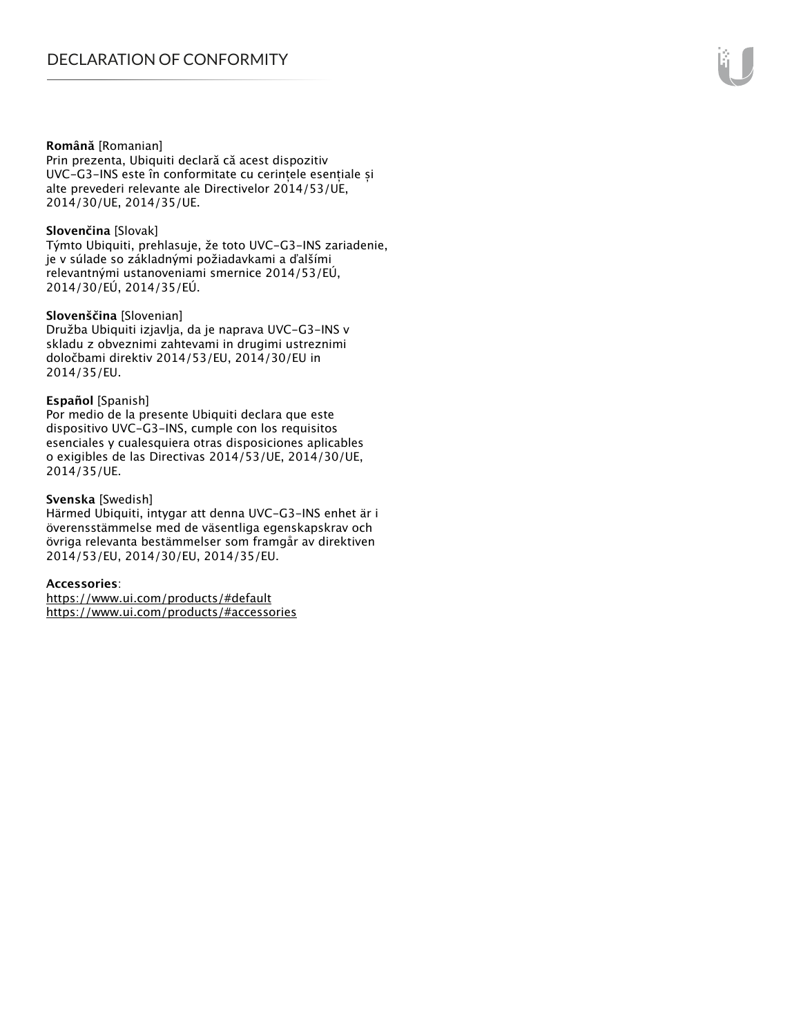#### **Română** [Romanian]

Prin prezenta, Ubiquiti declară că acest dispozitiv UVC-G3-INS este în conformitate cu cerințele esențiale și alte prevederi relevante ale Directivelor 2014/53/UE, 2014/30/UE, 2014/35/UE.

#### **Slovenčina** [Slovak]

Týmto Ubiquiti, prehlasuje, že toto UVC-G3-INS zariadenie, je v súlade so základnými požiadavkami a ďalšími relevantnými ustanoveniami smernice 2014/53/EÚ, 2014/30/EÚ, 2014/35/EÚ.

#### **Slovenščina** [Slovenian]

Družba Ubiquiti izjavlja, da je naprava UVC-G3-INS v skladu z obveznimi zahtevami in drugimi ustreznimi določbami direktiv 2014/53/EU, 2014/30/EU in 2014/35/EU.

#### **Español** [Spanish]

Por medio de la presente Ubiquiti declara que este dispositivo UVC-G3-INS, cumple con los requisitos esenciales y cualesquiera otras disposiciones aplicables o exigibles de las Directivas 2014/53/UE, 2014/30/UE, 2014/35/UE.

#### **Svenska** [Swedish]

Härmed Ubiquiti, intygar att denna UVC-G3-INS enhet är i överensstämmelse med de väsentliga egenskapskrav och övriga relevanta bestämmelser som framgår av direktiven 2014/53/EU, 2014/30/EU, 2014/35/EU.

#### **Accessories**:

https://www.ui.com/products/#default https://www.ui.com/products/#accessories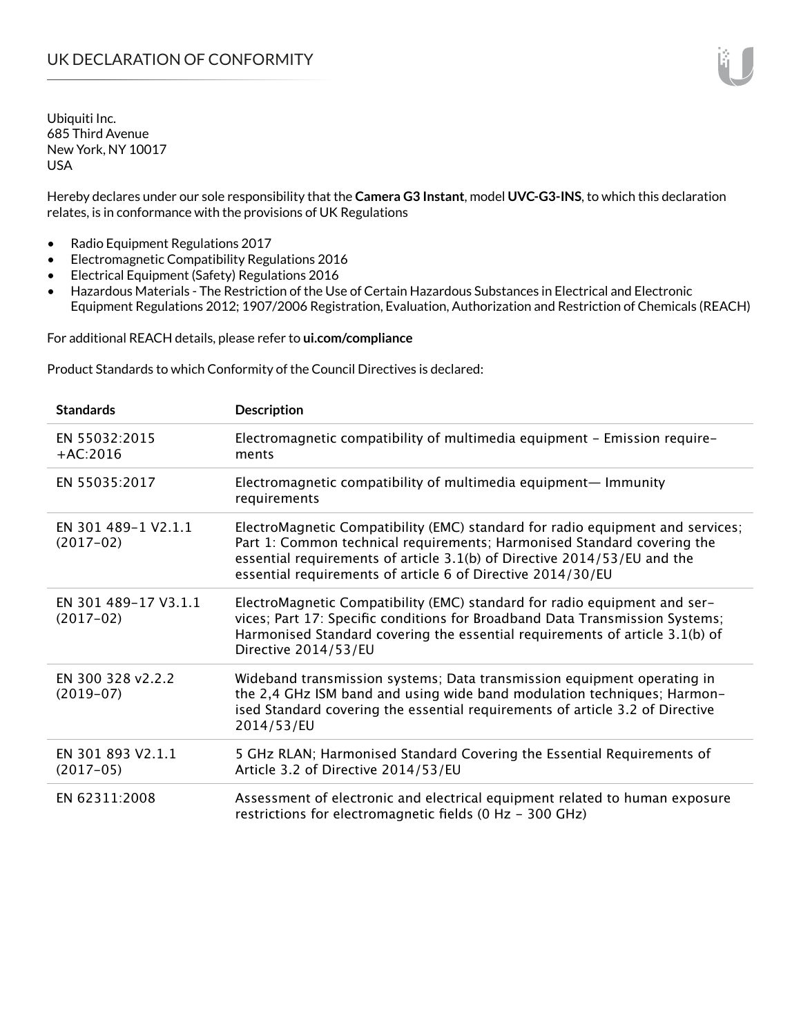Hereby declares under our sole responsibility that the **Camera G3 Instant**, model **UVC-G3-INS**, to which this declaration relates, is in conformance with the provisions of UK Regulations

- Radio Equipment Regulations 2017
- Electromagnetic Compatibility Regulations 2016
- Electrical Equipment (Safety) Regulations 2016
- Hazardous Materials The Restriction of the Use of Certain Hazardous Substances in Electrical and Electronic Equipment Regulations 2012; 1907/2006 Registration, Evaluation, Authorization and Restriction of Chemicals (REACH)

For additional REACH details, please refer to **ui.com/compliance**

Product Standards to which Conformity of the Council Directives is declared:

| <b>Standards</b>                    | <b>Description</b>                                                                                                                                                                                                                                                                                   |
|-------------------------------------|------------------------------------------------------------------------------------------------------------------------------------------------------------------------------------------------------------------------------------------------------------------------------------------------------|
| EN 55032:2015<br>$+AC:2016$         | Electromagnetic compatibility of multimedia equipment - Emission require-<br>ments                                                                                                                                                                                                                   |
| EN 55035:2017                       | Electromagnetic compatibility of multimedia equipment— Immunity<br>requirements                                                                                                                                                                                                                      |
| EN 301 489-1 V2.1.1<br>$(2017-02)$  | ElectroMagnetic Compatibility (EMC) standard for radio equipment and services;<br>Part 1: Common technical requirements; Harmonised Standard covering the<br>essential requirements of article 3.1(b) of Directive 2014/53/EU and the<br>essential requirements of article 6 of Directive 2014/30/EU |
| EN 301 489-17 V3.1.1<br>$(2017-02)$ | ElectroMagnetic Compatibility (EMC) standard for radio equipment and ser-<br>vices; Part 17: Specific conditions for Broadband Data Transmission Systems;<br>Harmonised Standard covering the essential requirements of article 3.1(b) of<br>Directive 2014/53/EU                                    |
| EN 300 328 v2.2.2<br>$(2019-07)$    | Wideband transmission systems; Data transmission equipment operating in<br>the 2,4 GHz ISM band and using wide band modulation techniques; Harmon-<br>ised Standard covering the essential requirements of article 3.2 of Directive<br>2014/53/EU                                                    |
| EN 301 893 V2.1.1<br>$(2017-05)$    | 5 GHz RLAN; Harmonised Standard Covering the Essential Requirements of<br>Article 3.2 of Directive 2014/53/EU                                                                                                                                                                                        |
| EN 62311:2008                       | Assessment of electronic and electrical equipment related to human exposure<br>restrictions for electromagnetic fields (0 Hz - 300 GHz)                                                                                                                                                              |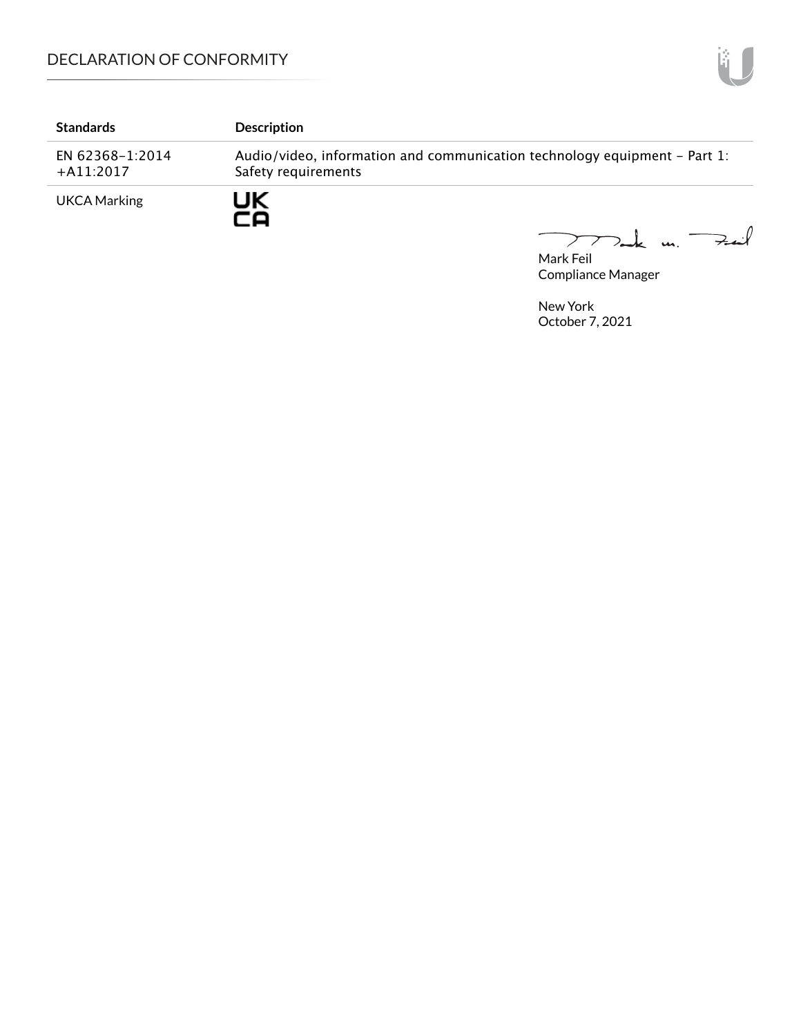| <b>Standards</b>               | <b>Description</b>                                                                               |
|--------------------------------|--------------------------------------------------------------------------------------------------|
| EN 62368-1:2014<br>$+A11:2017$ | Audio/video, information and communication technology equipment – Part 1:<br>Safety requirements |
| <b>UKCA Marking</b>            | JK                                                                                               |

Mark Feil un Feil

Compliance Manager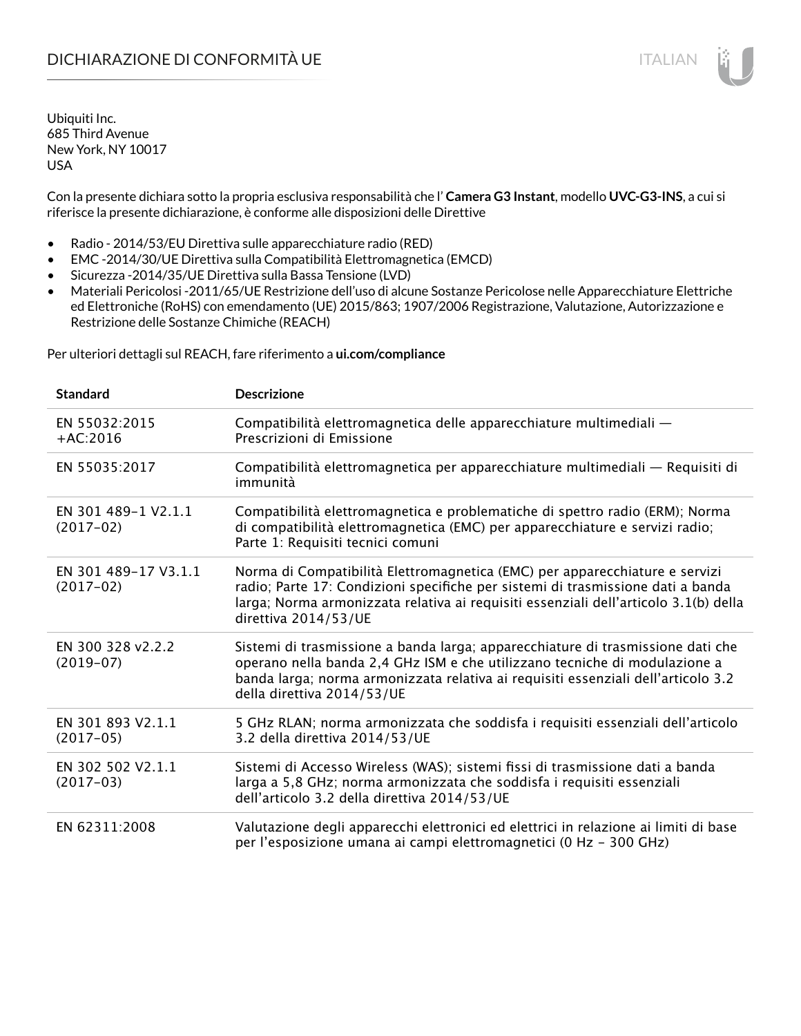Con la presente dichiara sotto la propria esclusiva responsabilità che l' **Camera G3 Instant**, modello **UVC-G3-INS**, a cui si riferisce la presente dichiarazione, è conforme alle disposizioni delle Direttive

- Radio 2014/53/EU Direttiva sulle apparecchiature radio (RED)
- EMC -2014/30/UE Direttiva sulla Compatibilità Elettromagnetica (EMCD)
- Sicurezza -2014/35/UE Direttiva sulla Bassa Tensione (LVD)
- Materiali Pericolosi -2011/65/UE Restrizione dell'uso di alcune Sostanze Pericolose nelle Apparecchiature Elettriche ed Elettroniche (RoHS) con emendamento (UE) 2015/863; 1907/2006 Registrazione, Valutazione, Autorizzazione e Restrizione delle Sostanze Chimiche (REACH)

Per ulteriori dettagli sul REACH, fare riferimento a **ui.com/compliance**

| <b>Standard</b>                     | <b>Descrizione</b>                                                                                                                                                                                                                                                               |
|-------------------------------------|----------------------------------------------------------------------------------------------------------------------------------------------------------------------------------------------------------------------------------------------------------------------------------|
| EN 55032:2015<br>$+AC:2016$         | Compatibilità elettromagnetica delle apparecchiature multimediali -<br>Prescrizioni di Emissione                                                                                                                                                                                 |
| EN 55035:2017                       | Compatibilità elettromagnetica per apparecchiature multimediali — Requisiti di<br>immunità                                                                                                                                                                                       |
| EN 301 489-1 V2.1.1<br>$(2017-02)$  | Compatibilità elettromagnetica e problematiche di spettro radio (ERM); Norma<br>di compatibilità elettromagnetica (EMC) per apparecchiature e servizi radio;<br>Parte 1: Requisiti tecnici comuni                                                                                |
| EN 301 489-17 V3.1.1<br>$(2017-02)$ | Norma di Compatibilità Elettromagnetica (EMC) per apparecchiature e servizi<br>radio; Parte 17: Condizioni specifiche per sistemi di trasmissione dati a banda<br>larga; Norma armonizzata relativa ai requisiti essenziali dell'articolo 3.1(b) della<br>direttiva 2014/53/UE   |
| EN 300 328 v2.2.2<br>$(2019-07)$    | Sistemi di trasmissione a banda larga; apparecchiature di trasmissione dati che<br>operano nella banda 2,4 GHz ISM e che utilizzano tecniche di modulazione a<br>banda larga; norma armonizzata relativa ai requisiti essenziali dell'articolo 3.2<br>della direttiva 2014/53/UE |
| EN 301 893 V2.1.1<br>$(2017-05)$    | 5 GHz RLAN; norma armonizzata che soddisfa i requisiti essenziali dell'articolo<br>3.2 della direttiva 2014/53/UE                                                                                                                                                                |
| EN 302 502 V2.1.1<br>$(2017-03)$    | Sistemi di Accesso Wireless (WAS); sistemi fissi di trasmissione dati a banda<br>larga a 5,8 GHz; norma armonizzata che soddisfa i requisiti essenziali<br>dell'articolo 3.2 della direttiva 2014/53/UE                                                                          |
| EN 62311:2008                       | Valutazione degli apparecchi elettronici ed elettrici in relazione ai limiti di base<br>per l'esposizione umana ai campi elettromagnetici (0 Hz - 300 GHz)                                                                                                                       |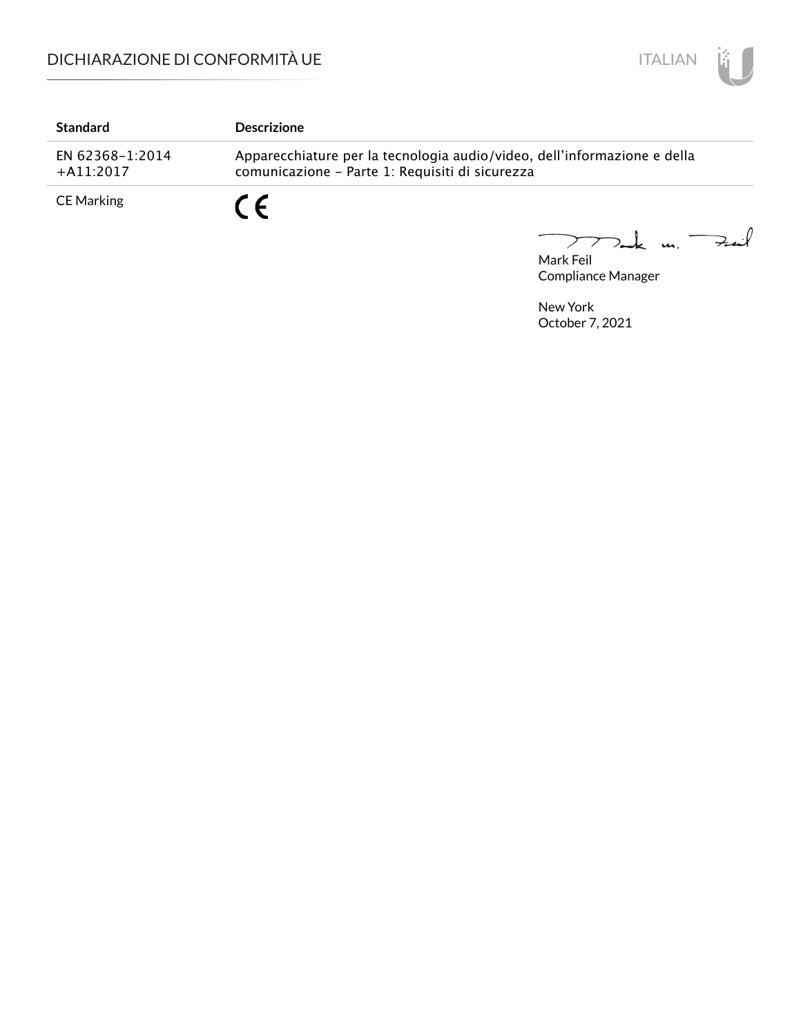

| <b>Standard</b>                | <b>Descrizione</b>                                                                                                          |
|--------------------------------|-----------------------------------------------------------------------------------------------------------------------------|
| EN 62368-1:2014<br>$+A11:2017$ | Apparecchiature per la tecnologia audio/video, dell'informazione e della<br>comunicazione - Parte 1: Requisiti di sicurezza |
| CE Marking                     | C C                                                                                                                         |

Mark Feil u. <del>Zuil</del>  $\overbrace{\phantom{aaaaa}}$ 

Compliance Manager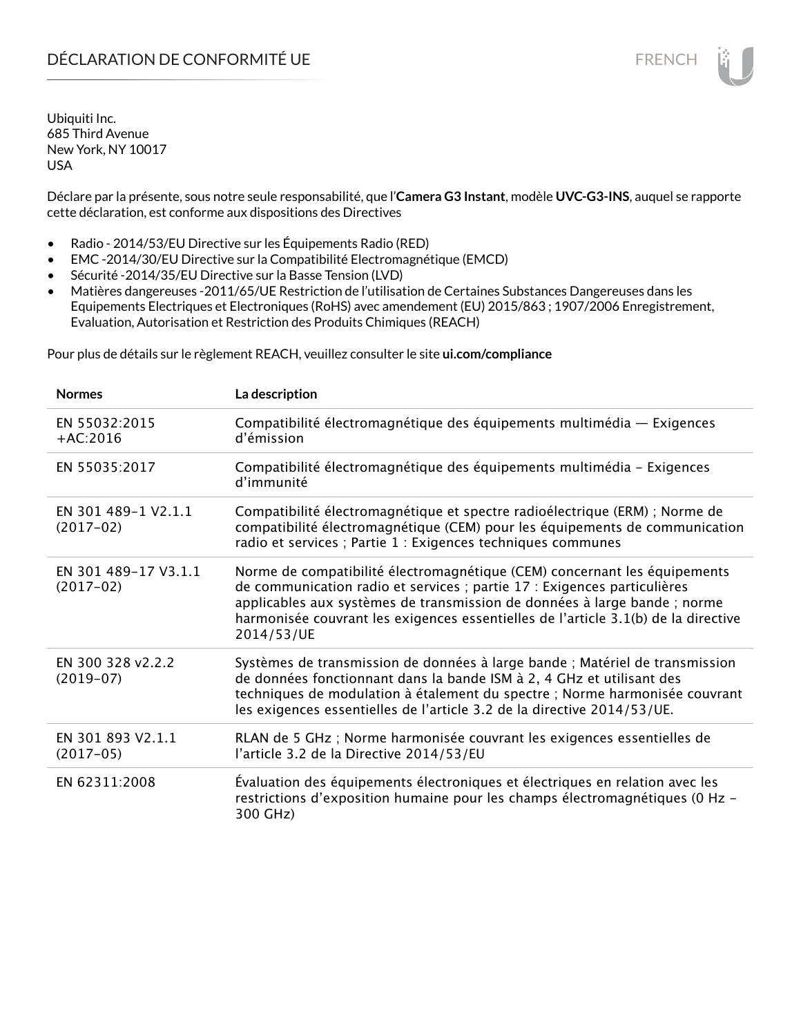# DÉCLARATION DE CONFORMITÉ UE FRENCH

Ubiquiti Inc. 685 Third Avenue New York, NY 10017 USA

Déclare par la présente, sous notre seule responsabilité, que l'**Camera G3 Instant**, modèle **UVC-G3-INS**, auquel se rapporte cette déclaration, est conforme aux dispositions des Directives

- Radio 2014/53/EU Directive sur les Équipements Radio (RED)
- EMC -2014/30/EU Directive sur la Compatibilité Electromagnétique (EMCD)
- Sécurité -2014/35/EU Directive sur la Basse Tension (LVD)
- Matières dangereuses -2011/65/UE Restriction de l'utilisation de Certaines Substances Dangereuses dans les Equipements Electriques et Electroniques (RoHS) avec amendement (EU) 2015/863 ; 1907/2006 Enregistrement, Evaluation, Autorisation et Restriction des Produits Chimiques (REACH)

Pour plus de détails sur le règlement REACH, veuillez consulter le site **ui.com/compliance**

| <b>Normes</b>                       | La description                                                                                                                                                                                                                                                                                                                         |
|-------------------------------------|----------------------------------------------------------------------------------------------------------------------------------------------------------------------------------------------------------------------------------------------------------------------------------------------------------------------------------------|
| EN 55032:2015<br>$+AC:2016$         | Compatibilité électromagnétique des équipements multimédia - Exigences<br>d'émission                                                                                                                                                                                                                                                   |
| EN 55035:2017                       | Compatibilité électromagnétique des équipements multimédia - Exigences<br>d'immunité                                                                                                                                                                                                                                                   |
| EN 301 489-1 V2.1.1<br>$(2017-02)$  | Compatibilité électromagnétique et spectre radioélectrique (ERM) ; Norme de<br>compatibilité électromagnétique (CEM) pour les équipements de communication<br>radio et services ; Partie 1 : Exigences techniques communes                                                                                                             |
| EN 301 489-17 V3.1.1<br>$(2017-02)$ | Norme de compatibilité électromagnétique (CEM) concernant les équipements<br>de communication radio et services ; partie 17 : Exigences particulières<br>applicables aux systèmes de transmission de données à large bande ; norme<br>harmonisée couvrant les exigences essentielles de l'article 3.1(b) de la directive<br>2014/53/UE |
| EN 300 328 v2.2.2<br>$(2019-07)$    | Systèmes de transmission de données à large bande ; Matériel de transmission<br>de données fonctionnant dans la bande ISM à 2, 4 GHz et utilisant des<br>techniques de modulation à étalement du spectre ; Norme harmonisée couvrant<br>les exigences essentielles de l'article 3.2 de la directive 2014/53/UE.                        |
| EN 301 893 V2.1.1<br>$(2017-05)$    | RLAN de 5 GHz ; Norme harmonisée couvrant les exigences essentielles de<br>l'article 3.2 de la Directive 2014/53/EU                                                                                                                                                                                                                    |
| EN 62311:2008                       | Évaluation des équipements électroniques et électriques en relation avec les<br>restrictions d'exposition humaine pour les champs électromagnétiques (0 Hz -<br>300 GHz)                                                                                                                                                               |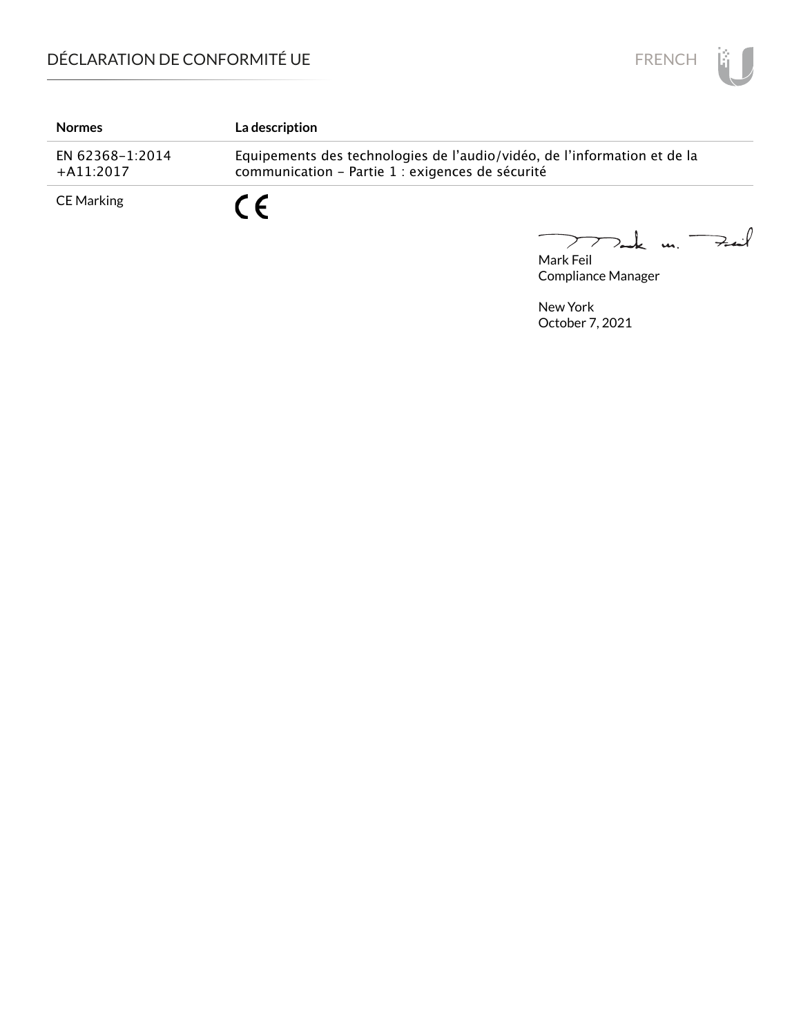

| <b>Normes</b>                  | La description                                                                                                               |
|--------------------------------|------------------------------------------------------------------------------------------------------------------------------|
| EN 62368-1:2014<br>$+A11:2017$ | Equipements des technologies de l'audio/vidéo, de l'information et de la<br>communication - Partie 1 : exigences de sécurité |
| CE Marking                     | C F                                                                                                                          |

Mark Feil<br>Mark Feil  $\overline{\phantom{0}}$ 

Compliance Manager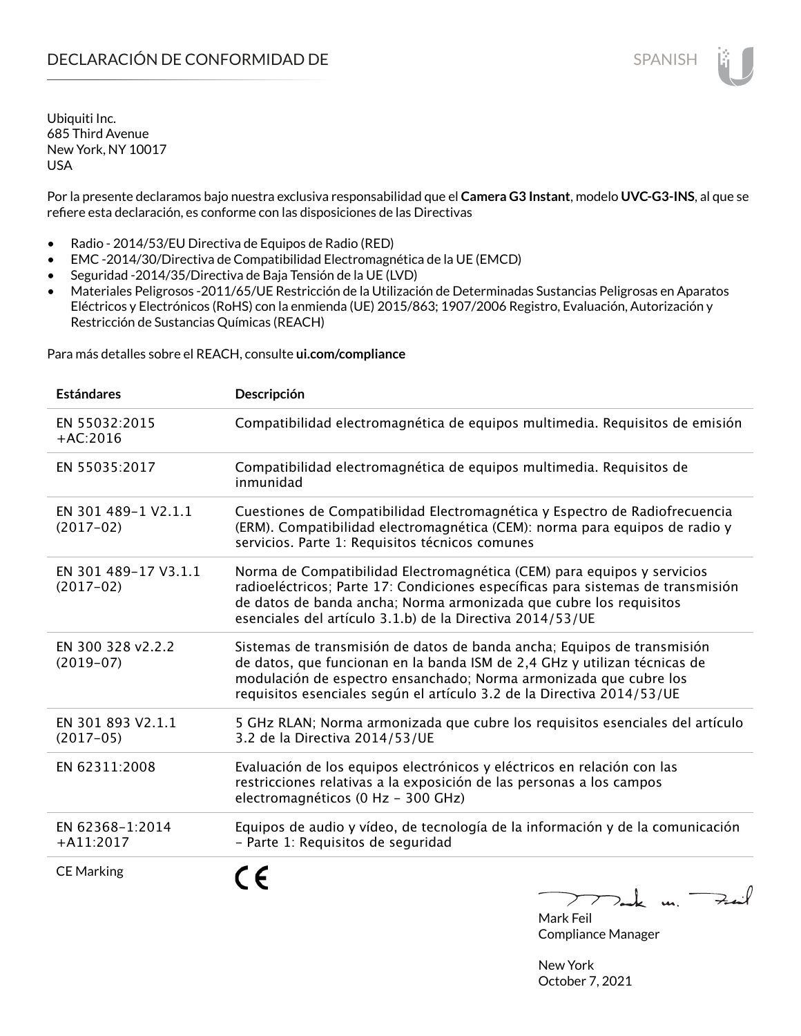Por la presente declaramos bajo nuestra exclusiva responsabilidad que el **Camera G3 Instant**, modelo **UVC-G3-INS**, al que se refiere esta declaración, es conforme con las disposiciones de las Directivas

- Radio 2014/53/EU Directiva de Equipos de Radio (RED)
- EMC -2014/30/Directiva de Compatibilidad Electromagnética de la UE (EMCD)
- Seguridad -2014/35/Directiva de Baja Tensión de la UE (LVD)
- Materiales Peligrosos -2011/65/UE Restricción de la Utilización de Determinadas Sustancias Peligrosas en Aparatos Eléctricos y Electrónicos (RoHS) con la enmienda (UE) 2015/863; 1907/2006 Registro, Evaluación, Autorización y Restricción de Sustancias Químicas (REACH)

Para más detalles sobre el REACH, consulte **ui.com/compliance**

| <b>Estándares</b>                   | Descripción                                                                                                                                                                                                                                                                                         |
|-------------------------------------|-----------------------------------------------------------------------------------------------------------------------------------------------------------------------------------------------------------------------------------------------------------------------------------------------------|
| EN 55032:2015<br>$+AC:2016$         | Compatibilidad electromagnética de equipos multimedia. Requisitos de emisión                                                                                                                                                                                                                        |
| EN 55035:2017                       | Compatibilidad electromagnética de equipos multimedia. Requisitos de<br>inmunidad                                                                                                                                                                                                                   |
| EN 301 489-1 V2.1.1<br>$(2017-02)$  | Cuestiones de Compatibilidad Electromagnética y Espectro de Radiofrecuencia<br>(ERM). Compatibilidad electromagnética (CEM): norma para equipos de radio y<br>servicios. Parte 1: Requisitos técnicos comunes                                                                                       |
| EN 301 489-17 V3.1.1<br>$(2017-02)$ | Norma de Compatibilidad Electromagnética (CEM) para equipos y servicios<br>radioeléctricos; Parte 17: Condiciones específicas para sistemas de transmisión<br>de datos de banda ancha; Norma armonizada que cubre los requisitos<br>esenciales del artículo 3.1.b) de la Directiva 2014/53/UE       |
| EN 300 328 v2.2.2<br>$(2019-07)$    | Sistemas de transmisión de datos de banda ancha; Equipos de transmisión<br>de datos, que funcionan en la banda ISM de 2,4 GHz y utilizan técnicas de<br>modulación de espectro ensanchado; Norma armonizada que cubre los<br>requisitos esenciales según el artículo 3.2 de la Directiva 2014/53/UE |
| EN 301 893 V2.1.1<br>$(2017-05)$    | 5 GHz RLAN; Norma armonizada que cubre los requisitos esenciales del artículo<br>3.2 de la Directiva 2014/53/UE                                                                                                                                                                                     |
| EN 62311:2008                       | Evaluación de los equipos electrónicos y eléctricos en relación con las<br>restricciones relativas a la exposición de las personas a los campos<br>electromagnéticos (0 Hz - 300 GHz)                                                                                                               |
| EN 62368-1:2014<br>$+$ A11:2017     | Equipos de audio y vídeo, de tecnología de la información y de la comunicación<br>- Parte 1: Requisitos de seguridad                                                                                                                                                                                |
| <b>CE Marking</b>                   | $\nabla$ ak m.<br>$\sum$                                                                                                                                                                                                                                                                            |

Mark Feil Compliance Manager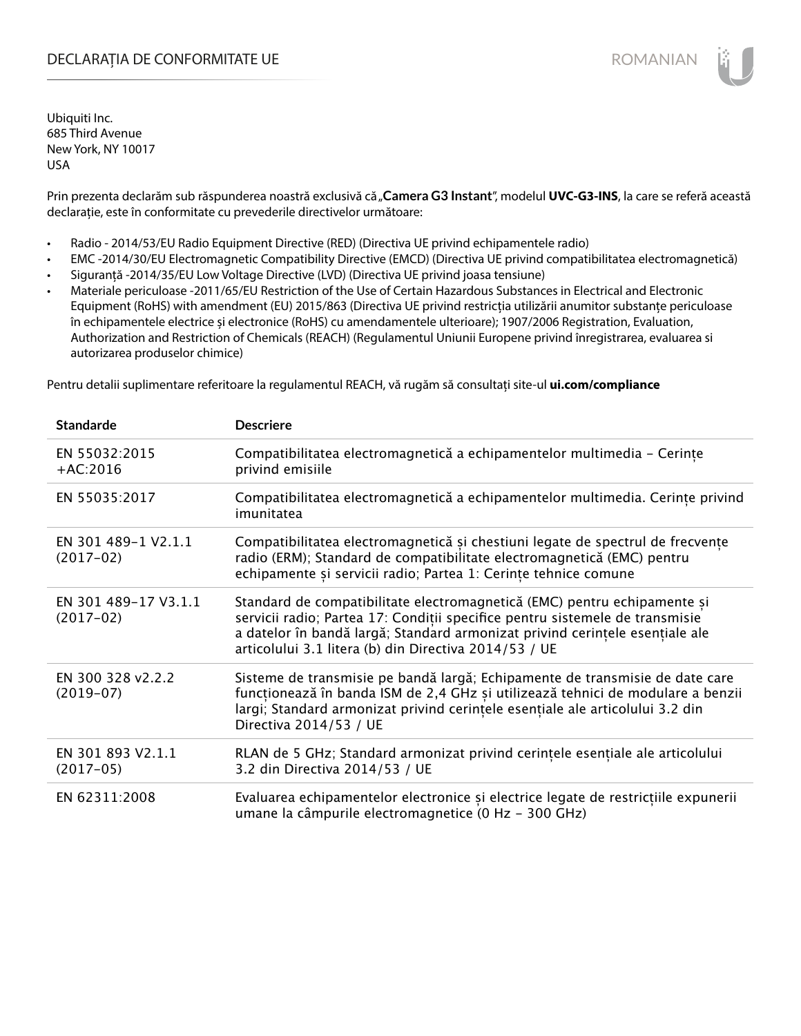## DECLARAȚIA DE CONFORMITATE UE EXECUTE DE ROMANIAN

Ubiquiti Inc. 685 Third Avenue New York, NY 10017 USA

Prin prezenta declarăm sub răspunderea noastră exclusivă că "Camera G3 Instant", modelul UVC-G3-INS, la care se referă această declarație, este în conformitate cu prevederile directivelor următoare:

- Radio 2014/53/EU Radio Equipment Directive (RED) (Directiva UE privind echipamentele radio)
- EMC -2014/30/EU Electromagnetic Compatibility Directive (EMCD) (Directiva UE privind compatibilitatea electromagnetică)
- Siguranță -2014/35/EU Low Voltage Directive (LVD) (Directiva UE privind joasa tensiune)
- Materiale periculoase -2011/65/EU Restriction of the Use of Certain Hazardous Substances in Electrical and Electronic Equipment (RoHS) with amendment (EU) 2015/863 (Directiva UE privind restricția utilizării anumitor substanțe periculoase în echipamentele electrice și electronice (RoHS) cu amendamentele ulterioare); 1907/2006 Registration, Evaluation, Authorization and Restriction of Chemicals (REACH) (Regulamentul Uniunii Europene privind înregistrarea, evaluarea si autorizarea produselor chimice)

Pentru detalii suplimentare referitoare la regulamentul REACH, vă rugăm să consultați site-ul **ui.com/compliance**

| <b>Standarde</b>                    | <b>Descriere</b>                                                                                                                                                                                                                                                                                  |
|-------------------------------------|---------------------------------------------------------------------------------------------------------------------------------------------------------------------------------------------------------------------------------------------------------------------------------------------------|
| EN 55032:2015<br>$+AC:2016$         | Compatibilitatea electromagnetică a echipamentelor multimedia - Cerințe<br>privind emisiile                                                                                                                                                                                                       |
| EN 55035:2017                       | Compatibilitatea electromagnetică a echipamentelor multimedia. Cerințe privind<br>imunitatea                                                                                                                                                                                                      |
| EN 301 489-1 V2.1.1<br>$(2017-02)$  | Compatibilitatea electromagnetică și chestiuni legate de spectrul de frecvențe<br>radio (ERM); Standard de compatibilitate electromagnetică (EMC) pentru<br>echipamente și servicii radio; Partea 1: Cerințe tehnice comune                                                                       |
| EN 301 489-17 V3.1.1<br>$(2017-02)$ | Standard de compatibilitate electromagnetică (EMC) pentru echipamente și<br>servicii radio; Partea 17: Condiții specifice pentru sistemele de transmisie<br>a datelor în bandă largă; Standard armonizat privind cerințele esențiale ale<br>articolului 3.1 litera (b) din Directiva 2014/53 / UE |
| EN 300 328 v2.2.2<br>$(2019-07)$    | Sisteme de transmisie pe bandă largă; Echipamente de transmisie de date care<br>funcționează în banda ISM de 2,4 GHz și utilizează tehnici de modulare a benzii<br>largi; Standard armonizat privind cerințele esențiale ale articolului 3.2 din<br>Directiva 2014/53 / UE                        |
| EN 301 893 V2.1.1<br>$(2017-05)$    | RLAN de 5 GHz; Standard armonizat privind cerințele esențiale ale articolului<br>3.2 din Directiva 2014/53 / UE                                                                                                                                                                                   |
| EN 62311:2008                       | Evaluarea echipamentelor electronice și electrice legate de restricțiile expunerii<br>umane la câmpurile electromagnetice (0 Hz - 300 GHz)                                                                                                                                                        |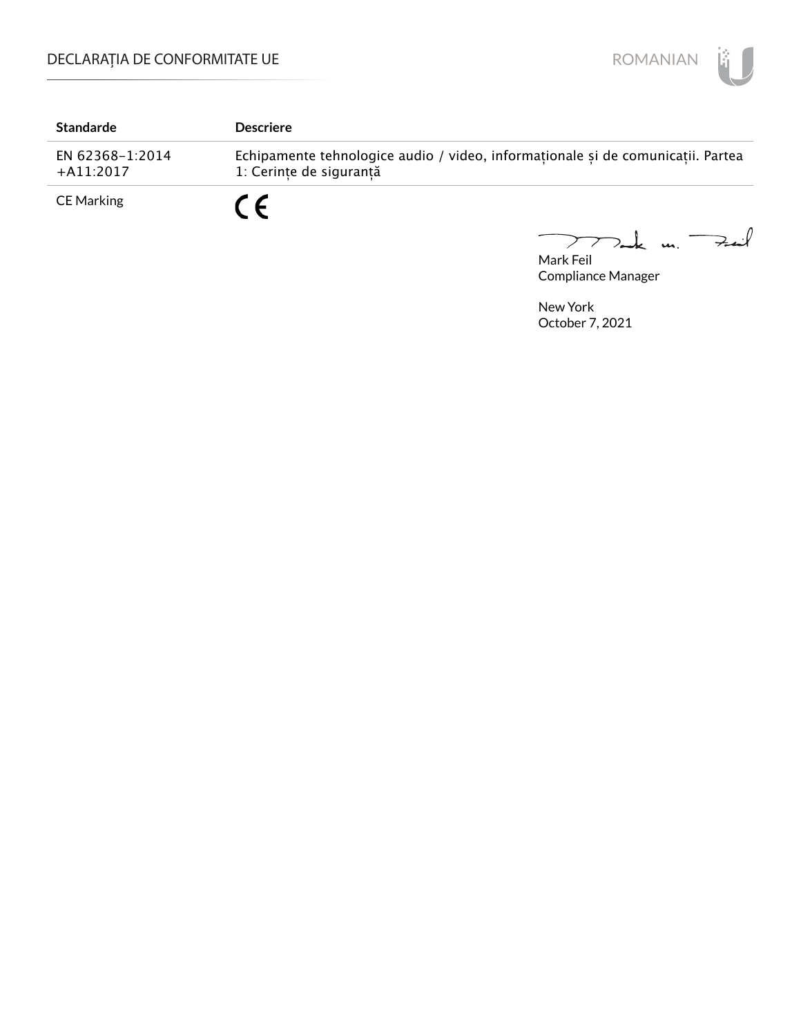

| <b>Standarde</b>               | <b>Descriere</b>                                                                                           |
|--------------------------------|------------------------------------------------------------------------------------------------------------|
| EN 62368-1:2014<br>$+A11:2017$ | Echipamente tehnologice audio / video, informaționale și de comunicații. Partea<br>1: Cerinte de sigurantă |
| <b>CE Marking</b>              | $\epsilon$                                                                                                 |

Mark Feil u. <del>Zuil</del>  $\overline{\phantom{0}}$ 

Compliance Manager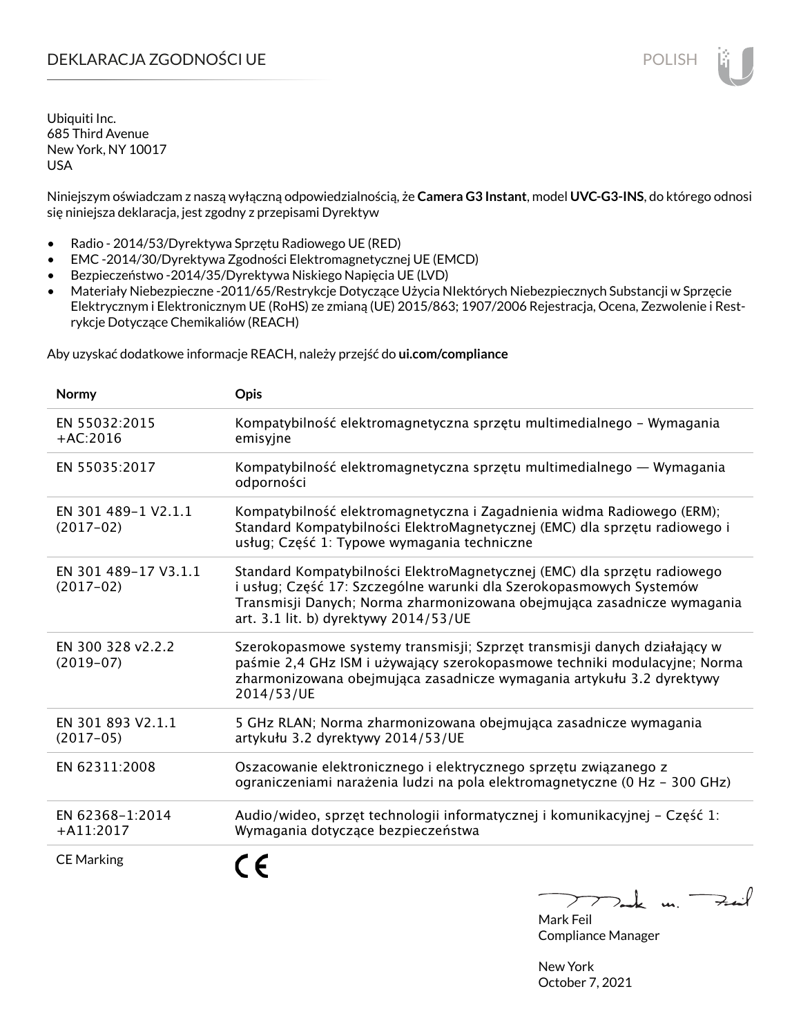# DEKLARACJA ZGODNOŚCI UE POLISH POLISH

Ubiquiti Inc. 685 Third Avenue New York, NY 10017 USA

Niniejszym oświadczam z naszą wyłączną odpowiedzialnością, że **Camera G3 Instant**, model **UVC-G3-INS**, do którego odnosi się niniejsza deklaracja, jest zgodny z przepisami Dyrektyw

- Radio 2014/53/Dyrektywa Sprzętu Radiowego UE (RED)
- EMC -2014/30/Dyrektywa Zgodności Elektromagnetycznej UE (EMCD)
- Bezpieczeństwo -2014/35/Dyrektywa Niskiego Napięcia UE (LVD)
- Materiały Niebezpieczne -2011/65/Restrykcje Dotyczące Użycia NIektórych Niebezpiecznych Substancji w Sprzęcie Elektrycznym i Elektronicznym UE (RoHS) ze zmianą (UE) 2015/863; 1907/2006 Rejestracja, Ocena, Zezwolenie i Restrykcje Dotyczące Chemikaliów (REACH)

Aby uzyskać dodatkowe informacje REACH, należy przejść do **ui.com/compliance**

| Normy                               | Opis                                                                                                                                                                                                                                                                |
|-------------------------------------|---------------------------------------------------------------------------------------------------------------------------------------------------------------------------------------------------------------------------------------------------------------------|
| EN 55032:2015<br>$+AC:2016$         | Kompatybilność elektromagnetyczna sprzętu multimedialnego – Wymagania<br>emisyjne                                                                                                                                                                                   |
| EN 55035:2017                       | Kompatybilność elektromagnetyczna sprzętu multimedialnego — Wymagania<br>odporności                                                                                                                                                                                 |
| EN 301 489-1 V2.1.1<br>$(2017-02)$  | Kompatybilność elektromagnetyczna i Zagadnienia widma Radiowego (ERM);<br>Standard Kompatybilności ElektroMagnetycznej (EMC) dla sprzętu radiowego i<br>usług; Część 1: Typowe wymagania techniczne                                                                 |
| EN 301 489-17 V3.1.1<br>$(2017-02)$ | Standard Kompatybilności ElektroMagnetycznej (EMC) dla sprzętu radiowego<br>i usług; Część 17: Szczególne warunki dla Szerokopasmowych Systemów<br>Transmisji Danych; Norma zharmonizowana obejmująca zasadnicze wymagania<br>art. 3.1 lit. b) dyrektywy 2014/53/UE |
| EN 300 328 v2.2.2<br>$(2019-07)$    | Szerokopasmowe systemy transmisji; Szprzęt transmisji danych działający w<br>paśmie 2,4 GHz ISM i używający szerokopasmowe techniki modulacyjne; Norma<br>zharmonizowana obejmująca zasadnicze wymagania artykułu 3.2 dyrektywy<br>2014/53/UE                       |
| EN 301 893 V2.1.1<br>$(2017-05)$    | 5 GHz RLAN; Norma zharmonizowana obejmująca zasadnicze wymagania<br>artykułu 3.2 dyrektywy 2014/53/UE                                                                                                                                                               |
| EN 62311:2008                       | Oszacowanie elektronicznego i elektrycznego sprzętu związanego z<br>ograniczeniami narażenia ludzi na pola elektromagnetyczne (0 Hz – 300 GHz)                                                                                                                      |
| EN 62368-1:2014<br>$+A11:2017$      | Audio/wideo, sprzęt technologii informatycznej i komunikacyjnej – Część 1:<br>Wymagania dotyczące bezpieczeństwa                                                                                                                                                    |
| <b>CE Marking</b>                   |                                                                                                                                                                                                                                                                     |

 $k$  un  $\rightarrow$ 

Mark Feil Compliance Manager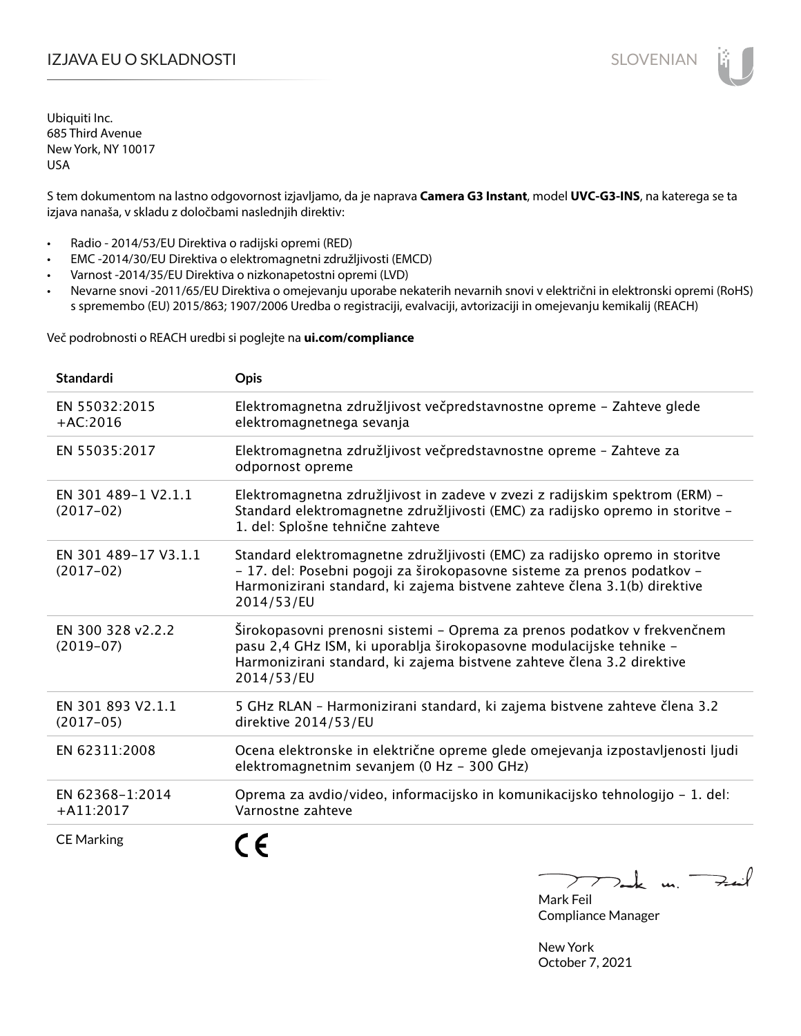# I**ZJAVA EU O SKLADNOSTI** SLOVENIAN

Ubiquiti Inc. 685 Third Avenue New York, NY 10017 USA

S tem dokumentom na lastno odgovornost izjavljamo, da je naprava **Camera G3 Instant**, model **UVC-G3-INS**, na katerega se ta izjava nanaša, v skladu z določbami naslednjih direktiv:

- Radio 2014/53/EU Direktiva o radijski opremi (RED)
- EMC -2014/30/EU Direktiva o elektromagnetni združljivosti (EMCD)
- Varnost -2014/35/EU Direktiva o nizkonapetostni opremi (LVD)
- Nevarne snovi -2011/65/EU Direktiva o omejevanju uporabe nekaterih nevarnih snovi v električni in elektronski opremi (RoHS) s spremembo (EU) 2015/863; 1907/2006 Uredba o registraciji, evalvaciji, avtorizaciji in omejevanju kemikalij (REACH)

Več podrobnosti o REACH uredbi si poglejte na **ui.com/compliance**

| <b>Standardi</b>                    | Opis                                                                                                                                                                                                                                              |
|-------------------------------------|---------------------------------------------------------------------------------------------------------------------------------------------------------------------------------------------------------------------------------------------------|
| EN 55032:2015<br>$+AC:2016$         | Elektromagnetna združljivost večpredstavnostne opreme - Zahteve glede<br>elektromagnetnega sevanja                                                                                                                                                |
| EN 55035:2017                       | Elektromagnetna združljivost večpredstavnostne opreme - Zahteve za<br>odpornost opreme                                                                                                                                                            |
| EN 301 489-1 V2.1.1<br>$(2017-02)$  | Elektromagnetna združljivost in zadeve v zvezi z radijskim spektrom (ERM) -<br>Standard elektromagnetne združljivosti (EMC) za radijsko opremo in storitve -<br>1. del: Splošne tehnične zahteve                                                  |
| EN 301 489-17 V3.1.1<br>$(2017-02)$ | Standard elektromagnetne združljivosti (EMC) za radijsko opremo in storitve<br>- 17. del: Posebni pogoji za širokopasovne sisteme za prenos podatkov -<br>Harmonizirani standard, ki zajema bistvene zahteve člena 3.1(b) direktive<br>2014/53/EU |
| EN 300 328 v2.2.2<br>$(2019-07)$    | Širokopasovni prenosni sistemi – Oprema za prenos podatkov v frekvenčnem<br>pasu 2,4 GHz ISM, ki uporablja širokopasovne modulacijske tehnike -<br>Harmonizirani standard, ki zajema bistvene zahteve člena 3.2 direktive<br>2014/53/EU           |
| EN 301 893 V2.1.1<br>$(2017-05)$    | 5 GHz RLAN - Harmonizirani standard, ki zajema bistvene zahteve člena 3.2<br>direktive 2014/53/EU                                                                                                                                                 |
| EN 62311:2008                       | Ocena elektronske in električne opreme glede omejevanja izpostavljenosti ljudi<br>elektromagnetnim sevanjem (0 Hz - 300 GHz)                                                                                                                      |
| EN 62368-1:2014<br>$+$ A11:2017     | Oprema za avdio/video, informacijsko in komunikacijsko tehnologijo - 1. del:<br>Varnostne zahteve                                                                                                                                                 |
| <b>CE Marking</b>                   |                                                                                                                                                                                                                                                   |

Tack un Fait  $\triangleright$  $\overline{\phantom{a}}$ Mark Feil Compliance Manager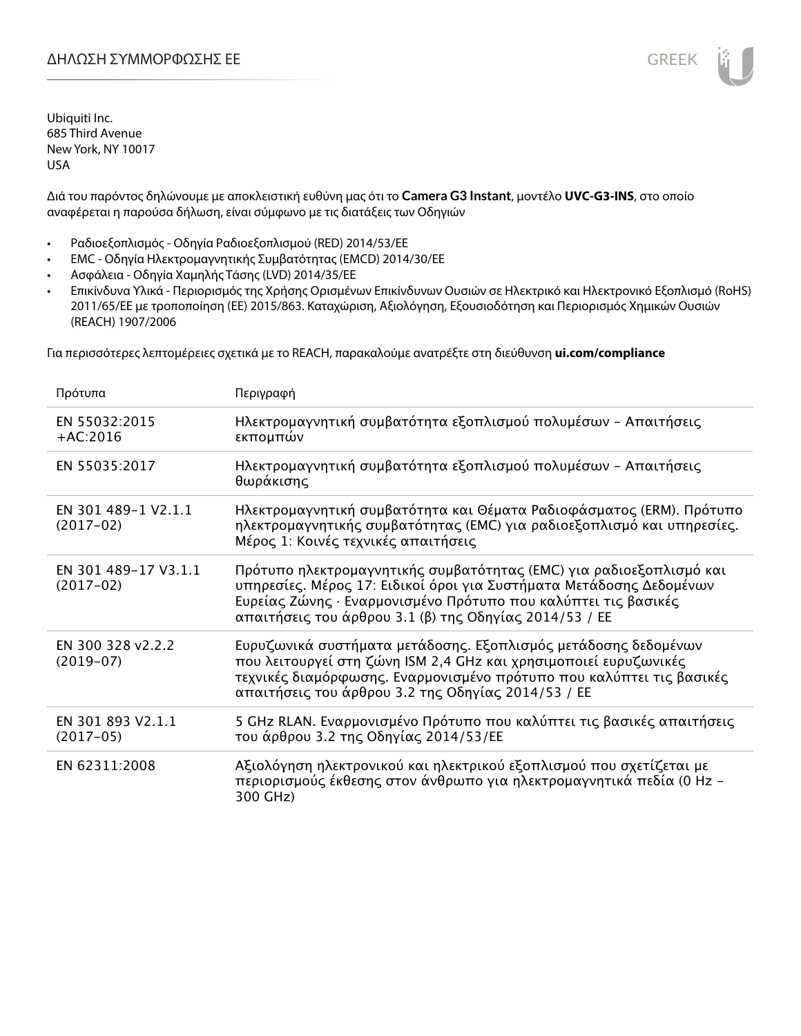Διά του παρόντος δηλώνουμε με αποκλειστική ευθύνη μας ότι το **Camera G3 Instant**, μοντέλο **UVC-G3-INS**, στο οποίο αναφέρεται η παρούσα δήλωση, είναι σύμφωνο με τις διατάξεις των Οδηγιών

- Ραδιοεξοπλισμός Οδηγία Ραδιοεξοπλισμού (RED) 2014/53/ΕΕ
- EMC Οδηγία Ηλεκτρομαγνητικής Συμβατότητας (EMCD) 2014/30/ΕΕ
- Ασφάλεια Οδηγία Χαμηλής Τάσης (LVD) 2014/35/ΕΕ
- Επικίνδυνα Υλικά Περιορισμός της Χρήσης Ορισμένων Επικίνδυνων Ουσιών σε Ηλεκτρικό και Ηλεκτρονικό Εξοπλισμό (RoHS) 2011/65/ΕΕ με τροποποίηση (ΕΕ) 2015/863. Καταχώριση, Αξιολόγηση, Εξουσιοδότηση και Περιορισμός Χημικών Ουσιών (REACH) 1907/2006

Για περισσότερες λεπτομέρειες σχετικά με το REACH, παρακαλούμε ανατρέξτε στη διεύθυνση **ui.com/compliance**

| Πρότυπα                             | Περιγραφή                                                                                                                                                                                                                                                              |
|-------------------------------------|------------------------------------------------------------------------------------------------------------------------------------------------------------------------------------------------------------------------------------------------------------------------|
| EN 55032:2015<br>$+AC:2016$         | Ηλεκτρομαγνητική συμβατότητα εξοπλισμού πολυμέσων - Απαιτήσεις<br>εκπομπών                                                                                                                                                                                             |
| EN 55035:2017                       | Ηλεκτρομαγνητική συμβατότητα εξοπλισμού πολυμέσων - Απαιτήσεις<br>θωράκισης                                                                                                                                                                                            |
| EN 301 489-1 V2.1.1<br>$(2017-02)$  | Ηλεκτρομαγνητική συμβατότητα και Θέματα Ραδιοφάσματος (ERM). Πρότυπο<br>ηλεκτρομαγνητικής συμβατότητας (EMC) για ραδιοεξοπλισμό και υπηρεσίες.<br>Μέρος 1: Κοινές τεχνικές απαιτήσεις                                                                                  |
| EN 301 489-17 V3.1.1<br>$(2017-02)$ | Πρότυπο ηλεκτρομαγνητικής συμβατότητας (ΕΜC) για ραδιοεξοπλισμό και<br>υπηρεσίες. Μέρος 17: Ειδικοί όροι για Συστήματα Μετάδοσης Δεδομένων<br>Ευρείας Ζώνης · Εναρμονισμένο Πρότυπο που καλύπτει τις βασικές<br>απαιτήσεις του άρθρου 3.1 (β) της Οδηγίας 2014/53 / ΕΕ |
| EN 300 328 v2.2.2<br>$(2019-07)$    | Ευρυζωνικά συστήματα μετάδοσης. Εξοπλισμός μετάδοσης δεδομένων<br>που λειτουργεί στη ζώνη ISM 2,4 GHz και χρησιμοποιεί ευρυζωνικές<br>τεχνικές διαμόρφωσης. Εναρμονισμένο πρότυπο που καλύπτει τις βασικές<br>απαιτήσεις του άρθρου 3.2 της Οδηγίας 2014/53 / ΕΕ       |
| EN 301 893 V2.1.1<br>$(2017-05)$    | 5 GHz RLAN. Εναρμονισμένο Πρότυπο που καλύπτει τις βασικές απαιτήσεις<br>του άρθρου 3.2 της Οδηγίας 2014/53/ΕΕ                                                                                                                                                         |
| EN 62311:2008                       | Αξιολόγηση ηλεκτρονικού και ηλεκτρικού εξοπλισμού που σχετίζεται με<br>περιορισμούς έκθεσης στον άνθρωπο για ηλεκτρομαγνητικά πεδία (0 Hz –<br>300 GHz)                                                                                                                |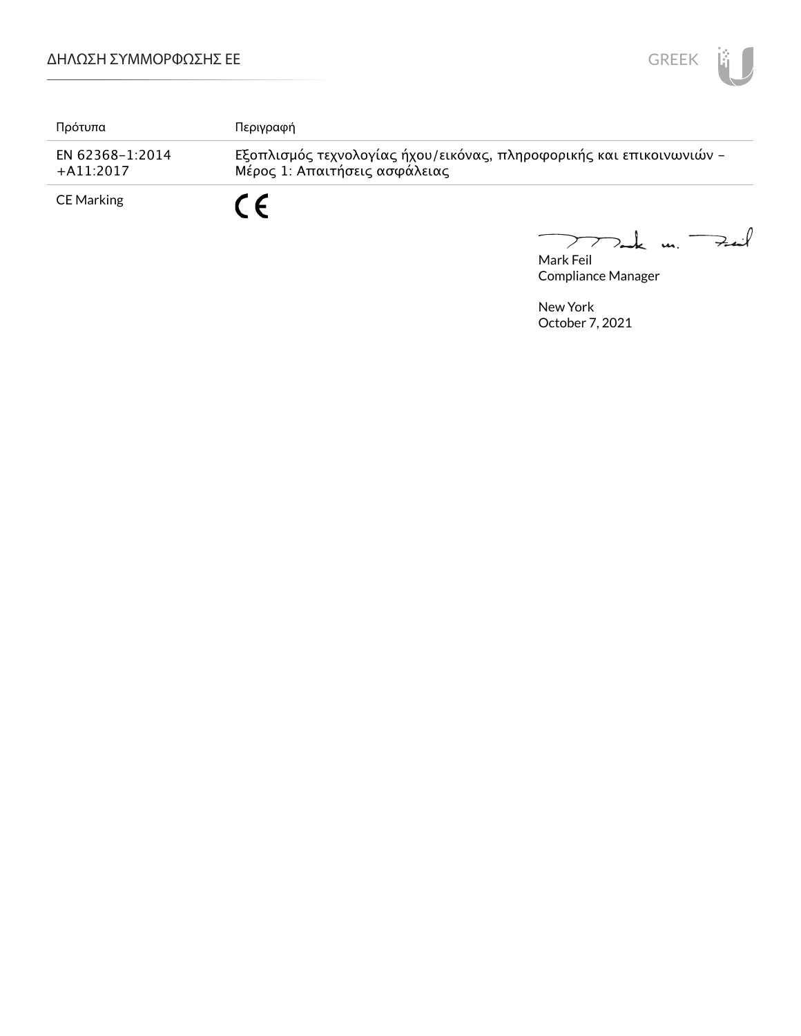

| Πρότυπα                        | Περιγραφή                                                                                             |
|--------------------------------|-------------------------------------------------------------------------------------------------------|
| EN 62368-1:2014<br>$+A11:2017$ | Εξοπλισμός τεχνολογίας ήχου/εικόνας, πληροφορικής και επικοινωνιών -<br>Μέρος 1: Απαιτήσεις ασφάλειας |
| <b>CE Marking</b>              | C E                                                                                                   |

Mak m. Fail  $\overline{\phantom{0}}$ 

Mark Feil Compliance Manager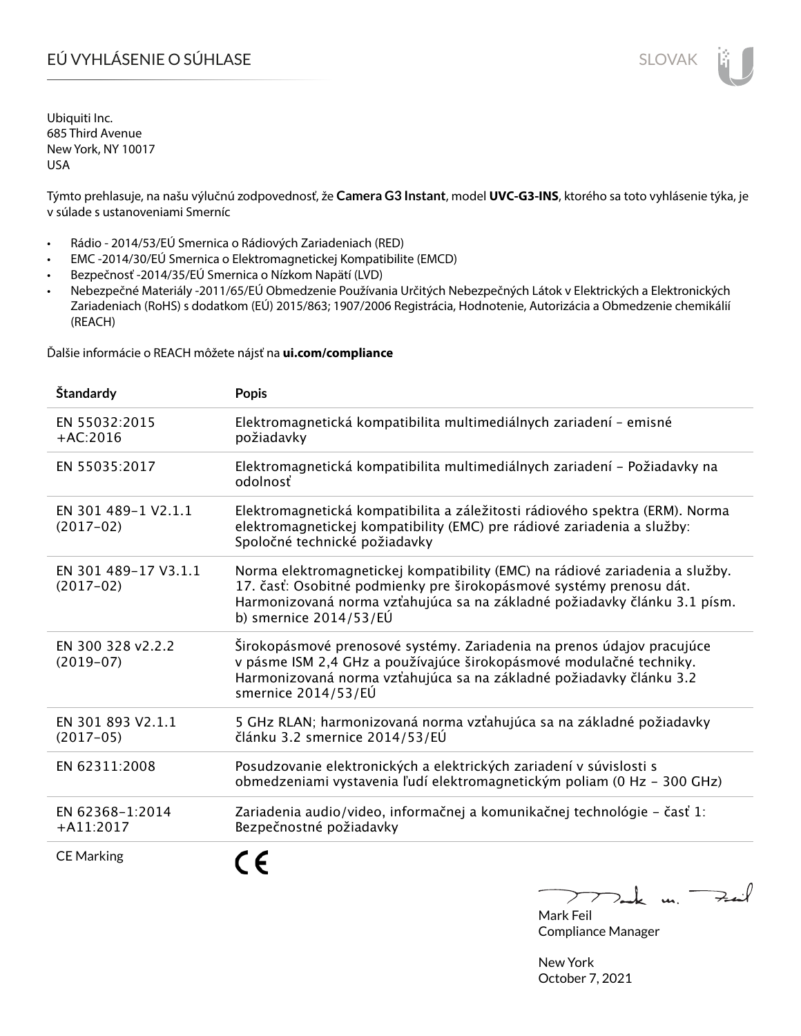# EÚ VYHLÁSENIE O SÚHLASE SLOVAK SLOVAK

Ubiquiti Inc. 685 Third Avenue New York, NY 10017 USA

Týmto prehlasuje, na našu výlučnú zodpovednosť, že **Camera G3 Instant**, model **UVC-G3-INS**, ktorého sa toto vyhlásenie týka, je v súlade s ustanoveniami Smerníc

- Rádio 2014/53/EÚ Smernica o Rádiových Zariadeniach (RED)
- EMC -2014/30/EÚ Smernica o Elektromagnetickej Kompatibilite (EMCD)
- Bezpečnosť -2014/35/EÚ Smernica o Nízkom Napätí (LVD)
- Nebezpečné Materiály -2011/65/EÚ Obmedzenie Používania Určitých Nebezpečných Látok v Elektrických a Elektronických Zariadeniach (RoHS) s dodatkom (EÚ) 2015/863; 1907/2006 Registrácia, Hodnotenie, Autorizácia a Obmedzenie chemikálií (REACH)

Ďalšie informácie o REACH môžete nájsť na **ui.com/compliance**

| Štandardy                           | <b>Popis</b>                                                                                                                                                                                                                                                 |
|-------------------------------------|--------------------------------------------------------------------------------------------------------------------------------------------------------------------------------------------------------------------------------------------------------------|
| EN 55032:2015<br>$+AC:2016$         | Elektromagnetická kompatibilita multimediálnych zariadení - emisné<br>požiadavky                                                                                                                                                                             |
| EN 55035:2017                       | Elektromagnetická kompatibilita multimediálnych zariadení – Požiadavky na<br>odolnosť                                                                                                                                                                        |
| EN 301 489-1 V2.1.1<br>$(2017-02)$  | Elektromagnetická kompatibilita a záležitosti rádiového spektra (ERM). Norma<br>elektromagnetickej kompatibility (EMC) pre rádiové zariadenia a služby:<br>Spoločné technické požiadavky                                                                     |
| EN 301 489-17 V3.1.1<br>$(2017-02)$ | Norma elektromagnetickej kompatibility (EMC) na rádiové zariadenia a služby.<br>17. časť: Osobitné podmienky pre širokopásmové systémy prenosu dát.<br>Harmonizovaná norma vzťahujúca sa na základné požiadavky článku 3.1 písm.<br>b) smernice $2014/53/EU$ |
| EN 300 328 v2.2.2<br>$(2019-07)$    | Širokopásmové prenosové systémy. Zariadenia na prenos údajov pracujúce<br>v pásme ISM 2,4 GHz a používajúce širokopásmové modulačné techniky.<br>Harmonizovaná norma vzťahujúca sa na základné požiadavky článku 3.2<br>smernice 2014/53/EÚ                  |
| EN 301 893 V2.1.1<br>$(2017-05)$    | 5 GHz RLAN; harmonizovaná norma vzťahujúca sa na základné požiadavky<br>článku 3.2 smernice 2014/53/EÚ                                                                                                                                                       |
| EN 62311:2008                       | Posudzovanie elektronických a elektrických zariadení v súvislosti s<br>obmedzeniami vystavenia ľudí elektromagnetickým poliam (0 Hz - 300 GHz)                                                                                                               |
| EN 62368-1:2014<br>$+$ A11:2017     | Zariadenia audio/video, informačnej a komunikačnej technológie - časť 1:<br>Bezpečnostné požiadavky                                                                                                                                                          |
| <b>CE Marking</b>                   |                                                                                                                                                                                                                                                              |

Dank un Zuil

Mark Feil Compliance Manager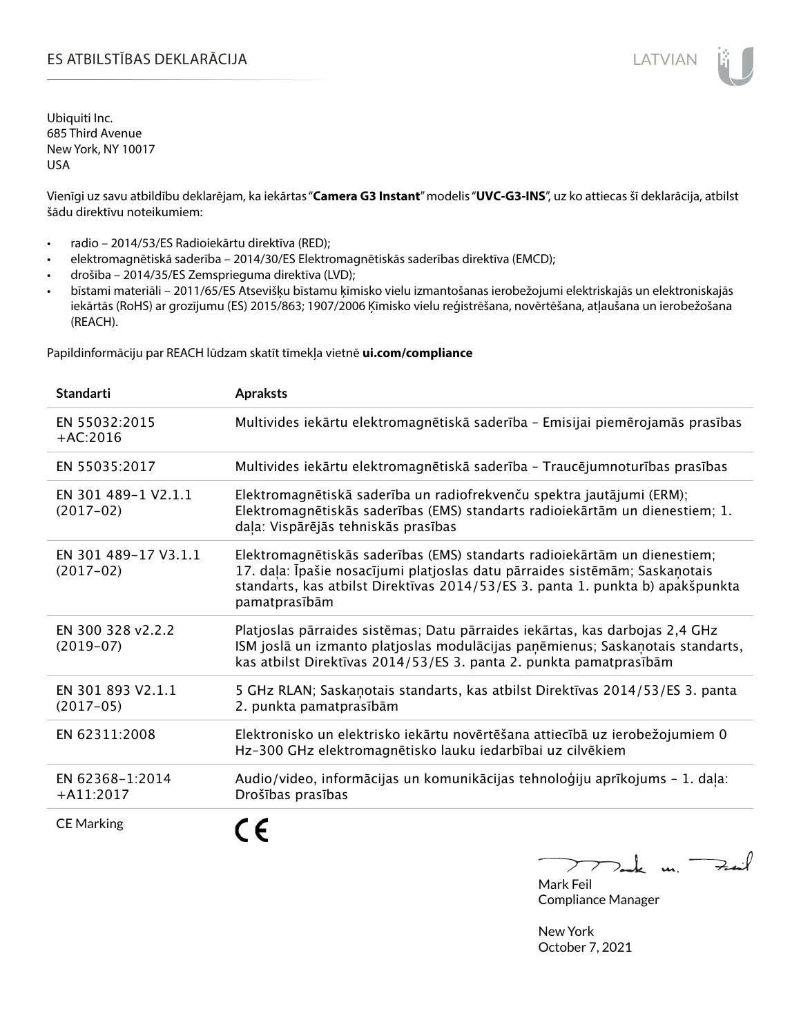# ES ATBILSTĪBAS DEKLARĀCIJA LATVIAN

Ubiquiti Inc. 685 Third Avenue New York, NY 10017 USA

Vienīgi uz savu atbildību deklarējam, ka iekārtas "**Camera G3 Instant**" modelis "**UVC-G3-INS**", uz ko attiecas šī deklarācija, atbilst šādu direktīvu noteikumiem:

- radio 2014/53/ES Radioiekārtu direktīva (RED);
- elektromagnētiskā saderība 2014/30/ES Elektromagnētiskās saderības direktīva (EMCD);
- drošība 2014/35/ES Zemsprieguma direktīva (LVD);
- bīstami materiāli 2011/65/ES Atsevišķu bīstamu ķīmisko vielu izmantošanas ierobežojumi elektriskajās un elektroniskajās iekārtās (RoHS) ar grozījumu (ES) 2015/863; 1907/2006 Ķīmisko vielu reģistrēšana, novērtēšana, atļaušana un ierobežošana (REACH).

Papildinformāciju par REACH lūdzam skatīt tīmekļa vietnē **ui.com/compliance**

| <b>Standarti</b>                    | <b>Apraksts</b>                                                                                                                                                                                                                                             |
|-------------------------------------|-------------------------------------------------------------------------------------------------------------------------------------------------------------------------------------------------------------------------------------------------------------|
| EN 55032:2015<br>$+AC:2016$         | Multivides iekārtu elektromagnētiskā saderība - Emisijai piemērojamās prasības                                                                                                                                                                              |
| EN 55035:2017                       | Multivides iekārtu elektromagnētiskā saderība - Traucējumnoturības prasības                                                                                                                                                                                 |
| EN 301 489-1 V2.1.1<br>$(2017-02)$  | Elektromagnētiskā saderība un radiofrekvenču spektra jautājumi (ERM);<br>Elektromagnētiskās saderības (EMS) standarts radioiekārtām un dienestiem; 1.<br>daļa: Vispārējās tehniskās prasības                                                                |
| EN 301 489-17 V3.1.1<br>$(2017-02)$ | Elektromagnētiskās saderības (EMS) standarts radioiekārtām un dienestiem;<br>17. daļa: Īpašie nosacījumi platjoslas datu pārraides sistēmām; Saskaņotais<br>standarts, kas atbilst Direktīvas 2014/53/ES 3. panta 1. punkta b) apakšpunkta<br>pamatprasībām |
| EN 300 328 v2.2.2<br>$(2019-07)$    | Platjoslas pārraides sistēmas; Datu pārraides iekārtas, kas darbojas 2,4 GHz<br>ISM joslā un izmanto platjoslas modulācijas paņēmienus; Saskaņotais standarts,<br>kas atbilst Direktīvas 2014/53/ES 3. panta 2. punkta pamatprasībām                        |
| EN 301 893 V2.1.1<br>$(2017-05)$    | 5 GHz RLAN; Saskanotais standarts, kas atbilst Direktīvas 2014/53/ES 3. panta<br>2. punkta pamatprasībām                                                                                                                                                    |
| EN 62311:2008                       | Elektronisko un elektrisko iekārtu novērtēšana attiecībā uz ierobežojumiem 0<br>Hz-300 GHz elektromagnētisko lauku iedarbībai uz cilvēkiem                                                                                                                  |
| EN 62368-1:2014<br>$+A11:2017$      | Audio/video, informācijas un komunikācijas tehnoloģiju aprīkojums - 1. daļa:<br>Drošības prasības                                                                                                                                                           |
| <b>CE Marking</b>                   |                                                                                                                                                                                                                                                             |

Tack m. Fail  $\sum$ 

Mark Feil Compliance Manager